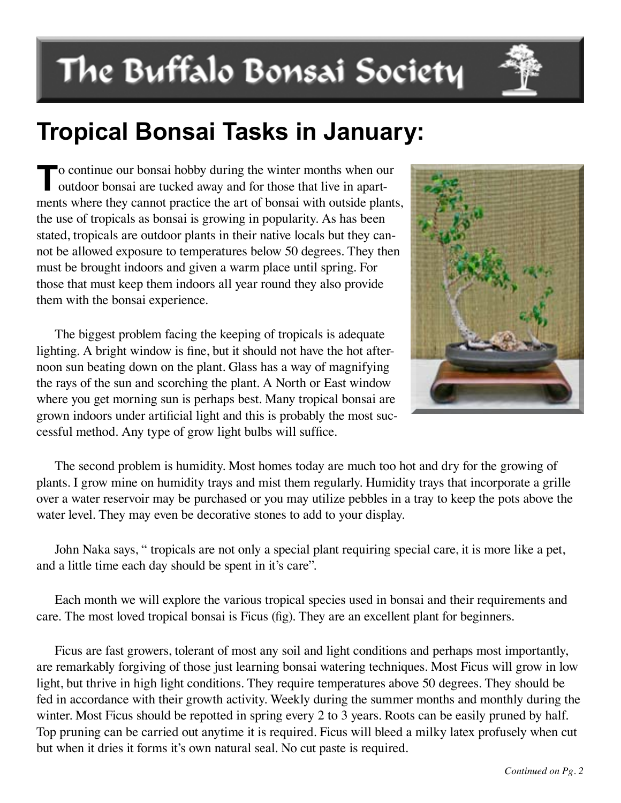# The Buffalo Bonsai Society

## **Tropical Bonsai Tasks in January:**

To continue our bonsai hobby during the winter months when our outdoor bonsai are tucked away and for those that live in apartments where they cannot practice the art of bonsai with outside plants, the use of tropicals as bonsai is growing in popularity. As has been stated, tropicals are outdoor plants in their native locals but they cannot be allowed exposure to temperatures below 50 degrees. They then must be brought indoors and given a warm place until spring. For those that must keep them indoors all year round they also provide them with the bonsai experience.

The biggest problem facing the keeping of tropicals is adequate lighting. A bright window is fine, but it should not have the hot afternoon sun beating down on the plant. Glass has a way of magnifying the rays of the sun and scorching the plant. A North or East window where you get morning sun is perhaps best. Many tropical bonsai are grown indoors under artificial light and this is probably the most successful method. Any type of grow light bulbs will suffice.



The second problem is humidity. Most homes today are much too hot and dry for the growing of plants. I grow mine on humidity trays and mist them regularly. Humidity trays that incorporate a grille over a water reservoir may be purchased or you may utilize pebbles in a tray to keep the pots above the water level. They may even be decorative stones to add to your display.

John Naka says, " tropicals are not only a special plant requiring special care, it is more like a pet, and a little time each day should be spent in it's care".

Each month we will explore the various tropical species used in bonsai and their requirements and care. The most loved tropical bonsai is Ficus (fig). They are an excellent plant for beginners.

Ficus are fast growers, tolerant of most any soil and light conditions and perhaps most importantly, are remarkably forgiving of those just learning bonsai watering techniques. Most Ficus will grow in low light, but thrive in high light conditions. They require temperatures above 50 degrees. They should be fed in accordance with their growth activity. Weekly during the summer months and monthly during the winter. Most Ficus should be repotted in spring every 2 to 3 years. Roots can be easily pruned by half. Top pruning can be carried out anytime it is required. Ficus will bleed a milky latex profusely when cut but when it dries it forms it's own natural seal. No cut paste is required.